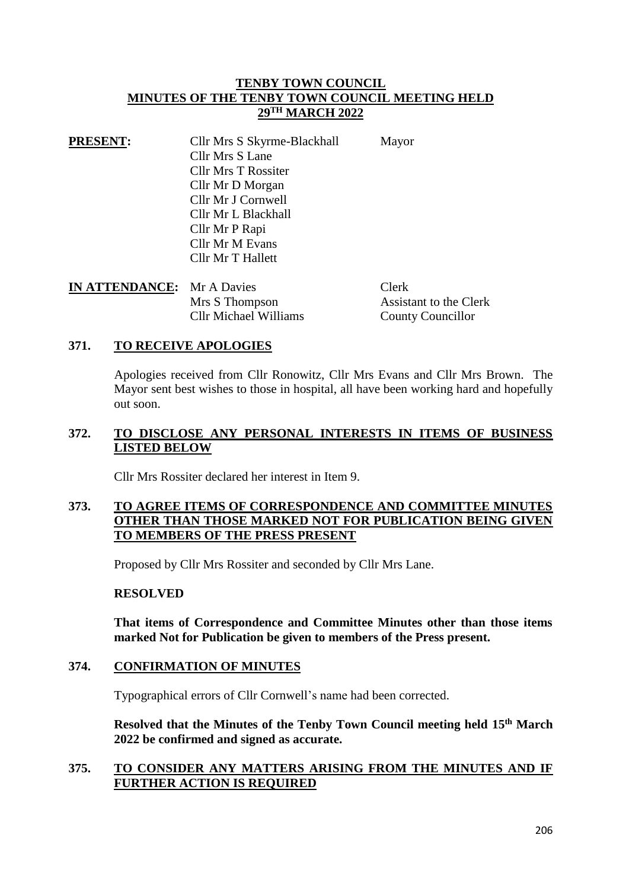### **TENBY TOWN COUNCIL MINUTES OF THE TENBY TOWN COUNCIL MEETING HELD 29TH MARCH 2022**

| <b>Cllr Mrs S Lane</b><br><b>Cllr Mrs T Rossiter</b> | Mayor |
|------------------------------------------------------|-------|
|                                                      |       |
|                                                      |       |
| Cllr Mr D Morgan                                     |       |
| Cllr Mr J Cornwell                                   |       |
| Cllr Mr L Blackhall                                  |       |
| Cllr Mr P Rapi                                       |       |
| Cllr Mr M Evans                                      |       |
| Cllr Mr T Hallett                                    |       |

| <b>IN ATTENDANCE:</b> Mr A Davies |                              | <b>Clerk</b>             |
|-----------------------------------|------------------------------|--------------------------|
|                                   | Mrs S Thompson               | Assistant to the Clerk   |
|                                   | <b>Cllr Michael Williams</b> | <b>County Councillor</b> |

#### **371. TO RECEIVE APOLOGIES**

Apologies received from Cllr Ronowitz, Cllr Mrs Evans and Cllr Mrs Brown. The Mayor sent best wishes to those in hospital, all have been working hard and hopefully out soon.

#### **372. TO DISCLOSE ANY PERSONAL INTERESTS IN ITEMS OF BUSINESS LISTED BELOW**

Cllr Mrs Rossiter declared her interest in Item 9.

### **373. TO AGREE ITEMS OF CORRESPONDENCE AND COMMITTEE MINUTES OTHER THAN THOSE MARKED NOT FOR PUBLICATION BEING GIVEN TO MEMBERS OF THE PRESS PRESENT**

Proposed by Cllr Mrs Rossiter and seconded by Cllr Mrs Lane.

#### **RESOLVED**

**That items of Correspondence and Committee Minutes other than those items marked Not for Publication be given to members of the Press present.**

#### **374. CONFIRMATION OF MINUTES**

Typographical errors of Cllr Cornwell's name had been corrected.

**Resolved that the Minutes of the Tenby Town Council meeting held 15th March 2022 be confirmed and signed as accurate.**

### **375. TO CONSIDER ANY MATTERS ARISING FROM THE MINUTES AND IF FURTHER ACTION IS REQUIRED**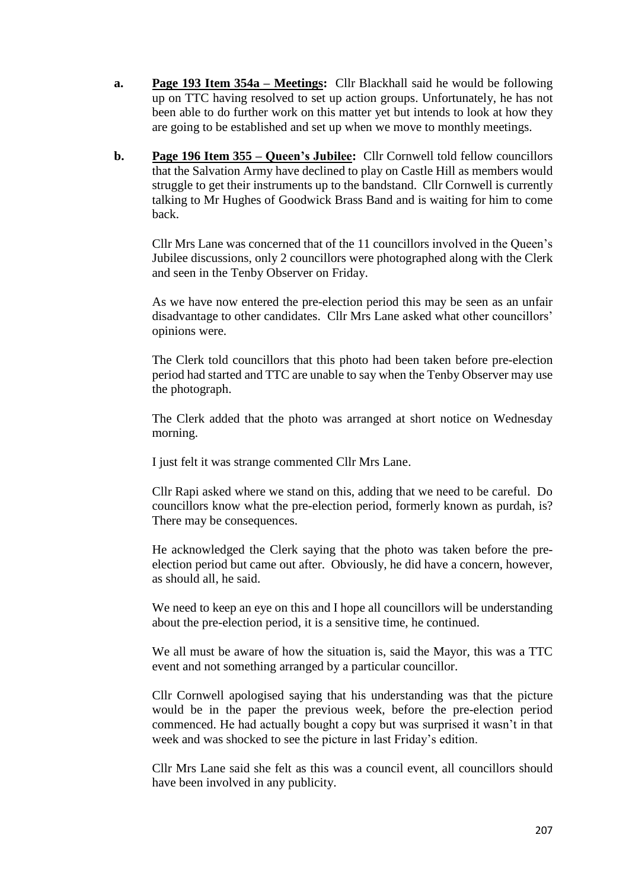- **a. Page 193 Item 354a – Meetings:** Cllr Blackhall said he would be following up on TTC having resolved to set up action groups. Unfortunately, he has not been able to do further work on this matter yet but intends to look at how they are going to be established and set up when we move to monthly meetings.
- **b. Page 196 Item 355 – Queen's Jubilee:** Cllr Cornwell told fellow councillors that the Salvation Army have declined to play on Castle Hill as members would struggle to get their instruments up to the bandstand. Cllr Cornwell is currently talking to Mr Hughes of Goodwick Brass Band and is waiting for him to come back.

Cllr Mrs Lane was concerned that of the 11 councillors involved in the Queen's Jubilee discussions, only 2 councillors were photographed along with the Clerk and seen in the Tenby Observer on Friday.

As we have now entered the pre-election period this may be seen as an unfair disadvantage to other candidates. Cllr Mrs Lane asked what other councillors' opinions were.

The Clerk told councillors that this photo had been taken before pre-election period had started and TTC are unable to say when the Tenby Observer may use the photograph.

The Clerk added that the photo was arranged at short notice on Wednesday morning.

I just felt it was strange commented Cllr Mrs Lane.

Cllr Rapi asked where we stand on this, adding that we need to be careful. Do councillors know what the pre-election period, formerly known as purdah, is? There may be consequences.

He acknowledged the Clerk saying that the photo was taken before the preelection period but came out after. Obviously, he did have a concern, however, as should all, he said.

We need to keep an eye on this and I hope all councillors will be understanding about the pre-election period, it is a sensitive time, he continued.

We all must be aware of how the situation is, said the Mayor, this was a TTC event and not something arranged by a particular councillor.

Cllr Cornwell apologised saying that his understanding was that the picture would be in the paper the previous week, before the pre-election period commenced. He had actually bought a copy but was surprised it wasn't in that week and was shocked to see the picture in last Friday's edition.

Cllr Mrs Lane said she felt as this was a council event, all councillors should have been involved in any publicity.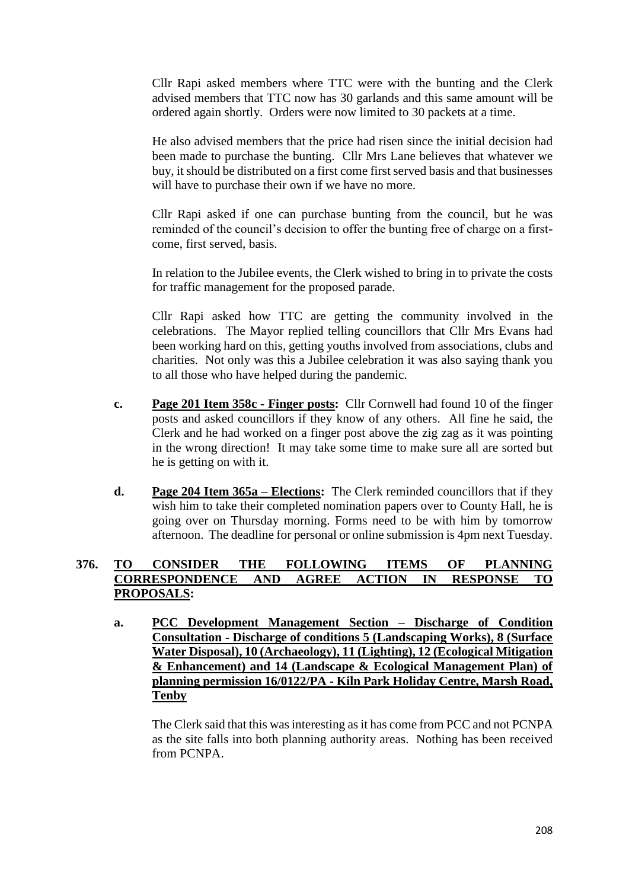Cllr Rapi asked members where TTC were with the bunting and the Clerk advised members that TTC now has 30 garlands and this same amount will be ordered again shortly. Orders were now limited to 30 packets at a time.

He also advised members that the price had risen since the initial decision had been made to purchase the bunting. Cllr Mrs Lane believes that whatever we buy, it should be distributed on a first come first served basis and that businesses will have to purchase their own if we have no more.

Cllr Rapi asked if one can purchase bunting from the council, but he was reminded of the council's decision to offer the bunting free of charge on a firstcome, first served, basis.

In relation to the Jubilee events, the Clerk wished to bring in to private the costs for traffic management for the proposed parade.

Cllr Rapi asked how TTC are getting the community involved in the celebrations. The Mayor replied telling councillors that Cllr Mrs Evans had been working hard on this, getting youths involved from associations, clubs and charities. Not only was this a Jubilee celebration it was also saying thank you to all those who have helped during the pandemic.

- **c. Page 201 Item 358c - Finger posts:** Cllr Cornwell had found 10 of the finger posts and asked councillors if they know of any others. All fine he said, the Clerk and he had worked on a finger post above the zig zag as it was pointing in the wrong direction! It may take some time to make sure all are sorted but he is getting on with it.
- **d. Page 204 Item 365a – Elections:** The Clerk reminded councillors that if they wish him to take their completed nomination papers over to County Hall, he is going over on Thursday morning. Forms need to be with him by tomorrow afternoon. The deadline for personal or online submission is 4pm next Tuesday.

# **376. TO CONSIDER THE FOLLOWING ITEMS OF PLANNING CORRESPONDENCE AND AGREE ACTION IN RESPONSE TO PROPOSALS:**

**a. PCC Development Management Section – Discharge of Condition Consultation - Discharge of conditions 5 (Landscaping Works), 8 (Surface Water Disposal), 10 (Archaeology), 11 (Lighting), 12 (Ecological Mitigation & Enhancement) and 14 (Landscape & Ecological Management Plan) of planning permission 16/0122/PA - Kiln Park Holiday Centre, Marsh Road, Tenby**

The Clerk said that this was interesting as it has come from PCC and not PCNPA as the site falls into both planning authority areas. Nothing has been received from PCNPA.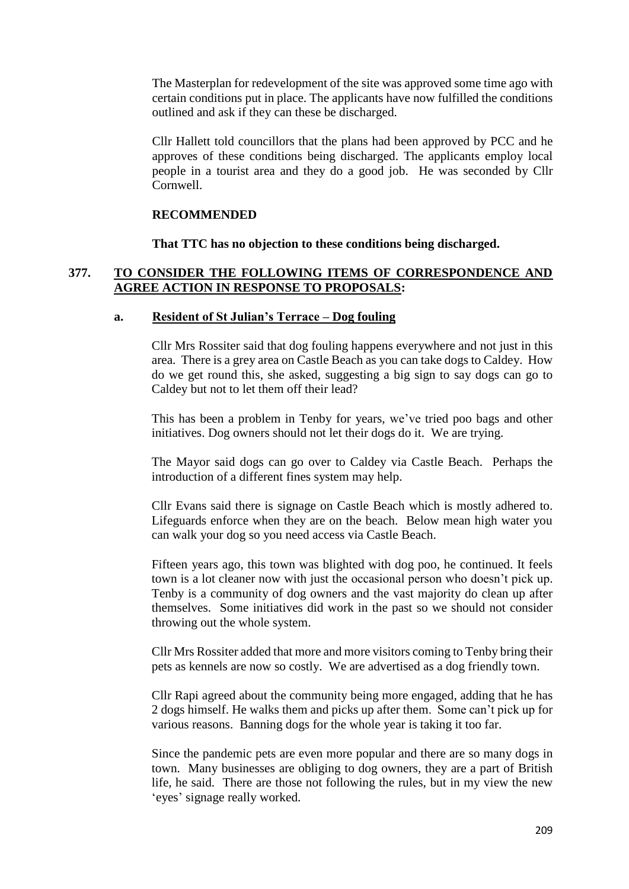The Masterplan for redevelopment of the site was approved some time ago with certain conditions put in place. The applicants have now fulfilled the conditions outlined and ask if they can these be discharged.

Cllr Hallett told councillors that the plans had been approved by PCC and he approves of these conditions being discharged. The applicants employ local people in a tourist area and they do a good job. He was seconded by Cllr Cornwell.

#### **RECOMMENDED**

**That TTC has no objection to these conditions being discharged.**

### **377. TO CONSIDER THE FOLLOWING ITEMS OF CORRESPONDENCE AND AGREE ACTION IN RESPONSE TO PROPOSALS:**

#### **a. Resident of St Julian's Terrace – Dog fouling**

Cllr Mrs Rossiter said that dog fouling happens everywhere and not just in this area. There is a grey area on Castle Beach as you can take dogs to Caldey. How do we get round this, she asked, suggesting a big sign to say dogs can go to Caldey but not to let them off their lead?

This has been a problem in Tenby for years, we've tried poo bags and other initiatives. Dog owners should not let their dogs do it. We are trying.

The Mayor said dogs can go over to Caldey via Castle Beach. Perhaps the introduction of a different fines system may help.

Cllr Evans said there is signage on Castle Beach which is mostly adhered to. Lifeguards enforce when they are on the beach. Below mean high water you can walk your dog so you need access via Castle Beach.

Fifteen years ago, this town was blighted with dog poo, he continued. It feels town is a lot cleaner now with just the occasional person who doesn't pick up. Tenby is a community of dog owners and the vast majority do clean up after themselves. Some initiatives did work in the past so we should not consider throwing out the whole system.

Cllr Mrs Rossiter added that more and more visitors coming to Tenby bring their pets as kennels are now so costly. We are advertised as a dog friendly town.

Cllr Rapi agreed about the community being more engaged, adding that he has 2 dogs himself. He walks them and picks up after them. Some can't pick up for various reasons. Banning dogs for the whole year is taking it too far.

Since the pandemic pets are even more popular and there are so many dogs in town. Many businesses are obliging to dog owners, they are a part of British life, he said. There are those not following the rules, but in my view the new 'eyes' signage really worked.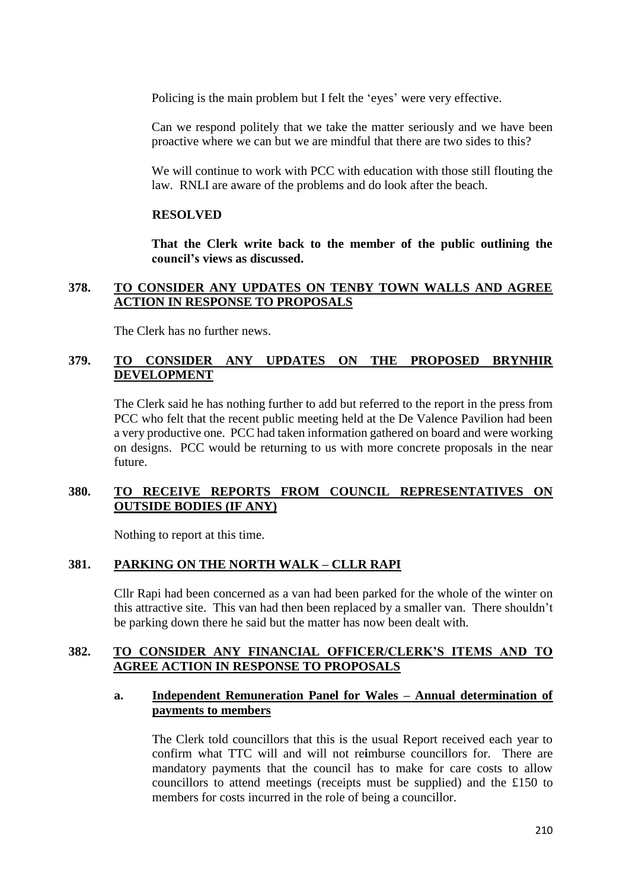Policing is the main problem but I felt the 'eyes' were very effective.

Can we respond politely that we take the matter seriously and we have been proactive where we can but we are mindful that there are two sides to this?

We will continue to work with PCC with education with those still flouting the law. RNLI are aware of the problems and do look after the beach.

#### **RESOLVED**

**That the Clerk write back to the member of the public outlining the council's views as discussed.**

### **378. TO CONSIDER ANY UPDATES ON TENBY TOWN WALLS AND AGREE ACTION IN RESPONSE TO PROPOSALS**

The Clerk has no further news.

### **379. TO CONSIDER ANY UPDATES ON THE PROPOSED BRYNHIR DEVELOPMENT**

The Clerk said he has nothing further to add but referred to the report in the press from PCC who felt that the recent public meeting held at the De Valence Pavilion had been a very productive one. PCC had taken information gathered on board and were working on designs. PCC would be returning to us with more concrete proposals in the near future.

### **380. TO RECEIVE REPORTS FROM COUNCIL REPRESENTATIVES ON OUTSIDE BODIES (IF ANY)**

Nothing to report at this time.

#### **381. PARKING ON THE NORTH WALK – CLLR RAPI**

Cllr Rapi had been concerned as a van had been parked for the whole of the winter on this attractive site. This van had then been replaced by a smaller van. There shouldn't be parking down there he said but the matter has now been dealt with.

#### **382. TO CONSIDER ANY FINANCIAL OFFICER/CLERK'S ITEMS AND TO AGREE ACTION IN RESPONSE TO PROPOSALS**

#### **a. Independent Remuneration Panel for Wales – Annual determination of payments to members**

The Clerk told councillors that this is the usual Report received each year to confirm what TTC will and will not re**i**mburse councillors for. There are mandatory payments that the council has to make for care costs to allow councillors to attend meetings (receipts must be supplied) and the £150 to members for costs incurred in the role of being a councillor.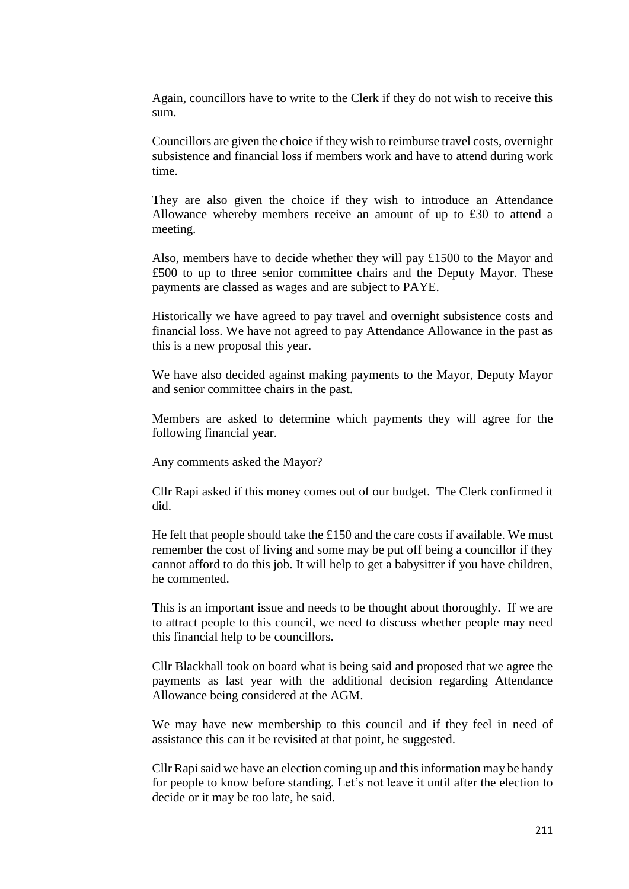Again, councillors have to write to the Clerk if they do not wish to receive this sum.

Councillors are given the choice if they wish to reimburse travel costs, overnight subsistence and financial loss if members work and have to attend during work time.

They are also given the choice if they wish to introduce an Attendance Allowance whereby members receive an amount of up to £30 to attend a meeting.

Also, members have to decide whether they will pay  $£1500$  to the Mayor and £500 to up to three senior committee chairs and the Deputy Mayor. These payments are classed as wages and are subject to PAYE.

Historically we have agreed to pay travel and overnight subsistence costs and financial loss. We have not agreed to pay Attendance Allowance in the past as this is a new proposal this year.

We have also decided against making payments to the Mayor, Deputy Mayor and senior committee chairs in the past.

Members are asked to determine which payments they will agree for the following financial year.

Any comments asked the Mayor?

Cllr Rapi asked if this money comes out of our budget. The Clerk confirmed it did.

He felt that people should take the £150 and the care costs if available. We must remember the cost of living and some may be put off being a councillor if they cannot afford to do this job. It will help to get a babysitter if you have children, he commented.

This is an important issue and needs to be thought about thoroughly. If we are to attract people to this council, we need to discuss whether people may need this financial help to be councillors.

Cllr Blackhall took on board what is being said and proposed that we agree the payments as last year with the additional decision regarding Attendance Allowance being considered at the AGM.

We may have new membership to this council and if they feel in need of assistance this can it be revisited at that point, he suggested.

Cllr Rapi said we have an election coming up and this information may be handy for people to know before standing. Let's not leave it until after the election to decide or it may be too late, he said.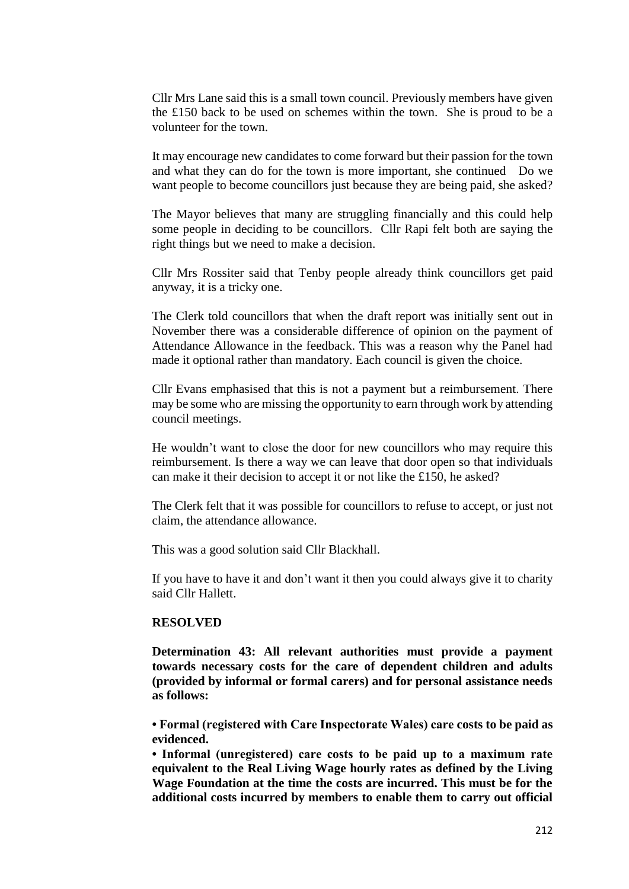Cllr Mrs Lane said this is a small town council. Previously members have given the £150 back to be used on schemes within the town. She is proud to be a volunteer for the town.

It may encourage new candidates to come forward but their passion for the town and what they can do for the town is more important, she continued Do we want people to become councillors just because they are being paid, she asked?

The Mayor believes that many are struggling financially and this could help some people in deciding to be councillors. Cllr Rapi felt both are saying the right things but we need to make a decision.

Cllr Mrs Rossiter said that Tenby people already think councillors get paid anyway, it is a tricky one.

The Clerk told councillors that when the draft report was initially sent out in November there was a considerable difference of opinion on the payment of Attendance Allowance in the feedback. This was a reason why the Panel had made it optional rather than mandatory. Each council is given the choice.

Cllr Evans emphasised that this is not a payment but a reimbursement. There may be some who are missing the opportunity to earn through work by attending council meetings.

He wouldn't want to close the door for new councillors who may require this reimbursement. Is there a way we can leave that door open so that individuals can make it their decision to accept it or not like the £150, he asked?

The Clerk felt that it was possible for councillors to refuse to accept, or just not claim, the attendance allowance.

This was a good solution said Cllr Blackhall.

If you have to have it and don't want it then you could always give it to charity said Cllr Hallett.

#### **RESOLVED**

**Determination 43: All relevant authorities must provide a payment towards necessary costs for the care of dependent children and adults (provided by informal or formal carers) and for personal assistance needs as follows:** 

**• Formal (registered with Care Inspectorate Wales) care costs to be paid as evidenced.**

**• Informal (unregistered) care costs to be paid up to a maximum rate equivalent to the Real Living Wage hourly rates as defined by the Living Wage Foundation at the time the costs are incurred. This must be for the additional costs incurred by members to enable them to carry out official**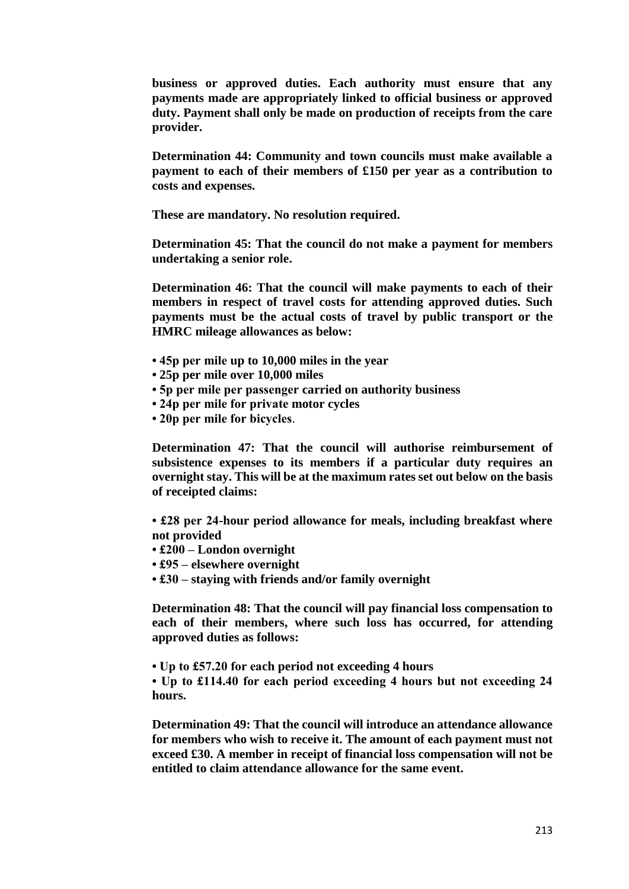**business or approved duties. Each authority must ensure that any payments made are appropriately linked to official business or approved duty. Payment shall only be made on production of receipts from the care provider.**

**Determination 44: Community and town councils must make available a payment to each of their members of £150 per year as a contribution to costs and expenses.**

**These are mandatory. No resolution required.**

**Determination 45: That the council do not make a payment for members undertaking a senior role.**

**Determination 46: That the council will make payments to each of their members in respect of travel costs for attending approved duties. Such payments must be the actual costs of travel by public transport or the HMRC mileage allowances as below:** 

- **45p per mile up to 10,000 miles in the year**
- **25p per mile over 10,000 miles**
- **5p per mile per passenger carried on authority business**
- **24p per mile for private motor cycles**
- **20p per mile for bicycles**.

**Determination 47: That the council will authorise reimbursement of subsistence expenses to its members if a particular duty requires an overnight stay. This will be at the maximum rates set out below on the basis of receipted claims:**

**• £28 per 24-hour period allowance for meals, including breakfast where not provided**

- **£200 – London overnight**
- **£95 – elsewhere overnight**
- **£30 – staying with friends and/or family overnight**

**Determination 48: That the council will pay financial loss compensation to each of their members, where such loss has occurred, for attending approved duties as follows:**

**• Up to £57.20 for each period not exceeding 4 hours**

**• Up to £114.40 for each period exceeding 4 hours but not exceeding 24 hours.**

**Determination 49: That the council will introduce an attendance allowance for members who wish to receive it. The amount of each payment must not exceed £30. A member in receipt of financial loss compensation will not be entitled to claim attendance allowance for the same event.**